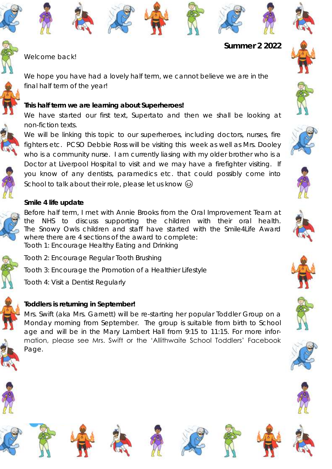













Welcome back!

We hope you have had a lovely half term, we cannot believe we are in the final half term of the year!

**This half term we are learning about Superheroes!** 

We have started our first text, Supertato and then we shall be looking at non-fiction texts.



We will be linking this topic to our superheroes, including doctors, nurses, fire fighters etc. PCSO Debbie Ross will be visiting this week as well as Mrs. Dooley who is a community nurse. I am currently liasing with my older brother who is a Doctor at Liverpool Hospital to visit and we may have a firefighter visiting. If you know of any dentists, paramedics etc. that could possibly come into School to talk about their role, please let us know  $\odot$ 





Before half term, I met with Annie Brooks from the Oral Improvement Team at the NHS to discuss supporting the children with their oral health. The Snowy Owls children and staff have started with the Smile4Life Award where there are 4 sections of the award to complete: Tooth 1: Encourage Healthy Eating and Drinking



Tooth 2: Encourage Regular Tooth Brushing

Tooth 3: Encourage the Promotion of a Healthier Lifestyle

Tooth 4: Visit a Dentist Regularly



# **Toddlers is returning in September!**

Mrs. Swift (aka Mrs. Garnett) will be re-starting her popular Toddler Group on a Monday morning from September. The group is suitable from birth to School age and will be in the Mary Lambert Hall from 9:15 to 11:15. For more information, please see Mrs. Swift or the 'Allithwaite School Toddlers' Facebook Page.



































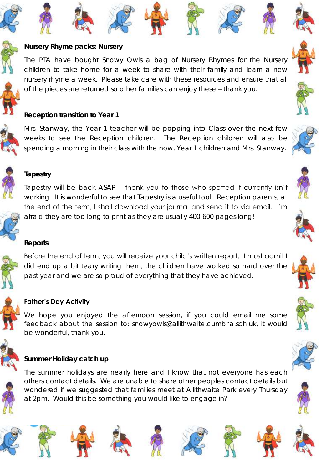



**Nursery Rhyme packs: Nursery** 

































**Reception transition to Year 1**

Mrs. Stanway, the Year 1 teacher will be popping into Class over the next few weeks to see the Reception children. The Reception children will also be spending a morning in their class with the now, Year 1 children and Mrs. Stanway.

The PTA have bought Snowy Owls a bag of Nursery Rhymes for the Nursery children to take home for a week to share with their family and learn a new nursery rhyme a week. Please take care with these resources and ensure that all

of the pieces are returned so other families can enjoy these – thank you.

# **Tapestry**

Tapestry will be back ASAP – thank you to those who spotted it currently isn't working. It is wonderful to see that Tapestry is a useful tool. Reception parents, at the end of the term, I shall download your journal and send it to via email. I'm afraid they are too long to print as they are usually 400-600 pages long!

### **Reports**

Before the end of term, you will receive your child's written report. I must admit I did end up a bit teary writing them, the children have worked so hard over the past year and we are so proud of everything that they have achieved.



# **Father's Day Activity**

We hope you enjoyed the afternoon session, if you could email me some feedback about the session to: snowyowls@allithwaite.cumbria.sch.uk, it would be wonderful, thank you.



# **Summer Holiday catch up**

The summer holidays are nearly here and I know that not everyone has each others contact details. We are unable to share other peoples contact details but wondered if we suggested that families meet at Allithwaite Park every Thursday at 2pm. Would this be something you would like to engage in?